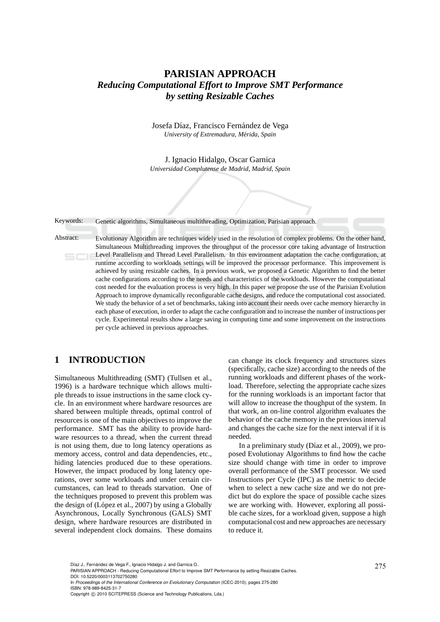# **PARISIAN APPROACH** *Reducing Computational Effort to Improve SMT Performance by setting Resizable Caches*

Josefa Díaz, Francisco Fernández de Vega *University of Extremadura, M´erida, Spain*

J. Ignacio Hidalgo, Oscar Garnica *Universidad Complutense de Madrid, Madrid, Spain*

Keywords: Genetic algorithms, Simultaneous multithreading, Optimization, Parisian approach.

Abstract: Evolutionay Algorithm are techniques widely used in the resolution of complex problems. On the other hand, Simultaneous Multithreading improves the throughput of the processor core taking advantage of Instruction Level Parallelism and Thread Level Parallelism. In this environment adaptation the cache configuration, at runtime according to workloads settings will be improved the processor performance. This improvement is achieved by using resizable caches. In a previous work, we proposed a Genetic Algorithm to find the better cache configurations according to the needs and characteristics of the workloads. However the computational cost needed for the evaluation process is very high. In this paper we propose the use of the Parisian Evolution Approach to improve dynamically reconfigurable cache designs, and reduce the computational cost associated. We study the behavior of a set of benchmarks, taking into account their needs over cache memory hierarchy in each phase of execution, in order to adapt the cache configuration and to increase the number of instructions per cycle. Experimental results show a large saving in computing time and some improvement on the instructions per cycle achieved in previous approaches.

# **1 INTRODUCTION**

Simultaneous Multithreading (SMT) (Tullsen et al., 1996) is a hardware technique which allows multiple threads to issue instructions in the same clock cycle. In an environment where hardware resources are shared between multiple threads, optimal control of resources is one of the main objectives to improve the performance. SMT has the ability to provide hardware resources to a thread, when the current thread is not using them, due to long latency operations as memory access, control and data dependencies, etc., hiding latencies produced due to these operations. However, the impact produced by long latency operations, over some workloads and under certain circumstances, can lead to threads starvation. One of the techniques proposed to prevent this problem was the design of  $(López et al., 2007)$  by using a Globally Asynchronous, Locally Synchronous (GALS) SMT design, where hardware resources are distributed in several independent clock domains. These domains

can change its clock frequency and structures sizes (specifically, cache size) according to the needs of the running workloads and different phases of the workload. Therefore, selecting the appropriate cache sizes for the running workloads is an important factor that will allow to increase the thoughput of the system. In that work, an on-line control algorithm evaluates the behavior of the cache memory in the previous interval and changes the cache size for the next interval if it is needed.

In a preliminary study (Díaz et al.,  $2009$ ), we proposed Evolutionay Algorithms to find how the cache size should change with time in order to improve overall performance of the SMT processor. We used Instructions per Cycle (IPC) as the metric to decide when to select a new cache size and we do not predict but do explore the space of possible cache sizes we are working with. However, exploring all possible cache sizes, for a workload given, suppose a high computacional cost and new approaches are necessary to reduce it.

In *Proceedings of the International Conference on Evolutionary Computation* (ICEC-2010), pages 275-280 ISBN: 978-989-8425-31-7

Díaz J., Fernández de Vega F., Ignacio Hidalgo J. and Garnica O..<br>PARISIAN APPROACH - Reducing Computational Effort to Improve SMT Performance by setting Resizable Caches. DOI: 10.5220/0003113702750280

Copyright © 2010 SCITEPRESS (Science and Technology Publications, Lda.)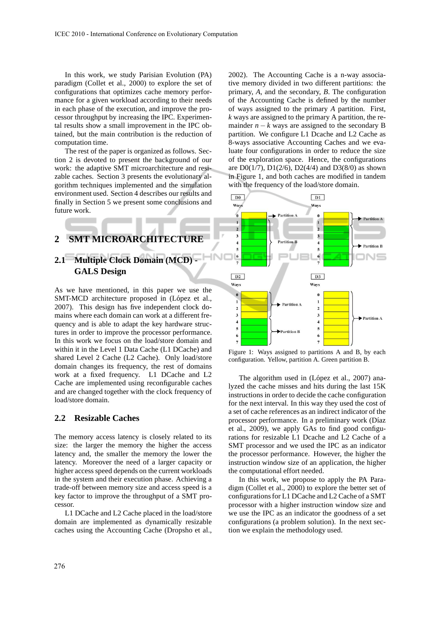In this work, we study Parisian Evolution (PA) paradigm (Collet et al., 2000) to explore the set of configurations that optimizes cache memory performance for a given workload according to their needs in each phase of the execution, and improve the processor throughput by increasing the IPC. Experimental results show a small improvement in the IPC obtained, but the main contribution is the reduction of computation time.

The rest of the paper is organized as follows. Section 2 is devoted to present the background of our work: the adaptive SMT microarchitecture and resizable caches. Section 3 presents the evolutionary algorithm techniques implemented and the simulation environment used. Section 4 describes our results and finally in Section 5 we present some conclusions and future work.

# **2 SMT MICROARCHITECTURE**

# **2.1 Multiple Clock Domain (MCD) - GALS Design**

As we have mentioned, in this paper we use the SMT-MCD architecture proposed in (López et al., 2007). This design has five independent clock domains where each domain can work at a different frequency and is able to adapt the key hardware structures in order to improve the processor performance. In this work we focus on the load/store domain and within it in the Level 1 Data Cache (L1 DCache) and shared Level 2 Cache (L2 Cache). Only load/store domain changes its frequency, the rest of domains work at a fixed frequency. L1 DCache and L2 Cache are implemented using reconfigurable caches and are changed together with the clock frequency of load/store domain.

#### **2.2 Resizable Caches**

The memory access latency is closely related to its size: the larger the memory the higher the access latency and, the smaller the memory the lower the latency. Moreover the need of a larger capacity or higher access speed depends on the current workloads in the system and their execution phase. Achieving a trade-off between memory size and access speed is a key factor to improve the throughput of a SMT processor.

L1 DCache and L2 Cache placed in the load/store domain are implemented as dynamically resizable caches using the Accounting Cache (Dropsho et al., 2002). The Accounting Cache is a n-way associative memory divided in two different partitions: the primary, *A*, and the secondary, *B*. The configuration of the Accounting Cache is defined by the number of ways assigned to the primary *A* partition. First, *k* ways are assigned to the primary A partition, the remainder  $n - k$  ways are assigned to the secondary B partition. We configure L1 Dcache and L2 Cache as 8-ways associative Accounting Caches and we evaluate four configurations in order to reduce the size of the exploration space. Hence, the configurations are  $D0(1/7)$ ,  $D1(2/6)$ ,  $D2(4/4)$  and  $D3(8/0)$  as shown in Figure 1, and both caches are modified in tandem with the frequency of the load/store domain.



Figure 1: Ways assigned to partitions A and B, by each configuration. Yellow, partition A. Green partition B.

The algorithm used in (López et al., 2007) analyzed the cache misses and hits during the last 15K instructions in order to decide the cache configuration for the next interval. In this way they used the cost of a set of cache references as an indirect indicator of the processor performance. In a preliminary work (Díaz et al., 2009), we apply GAs to find good configurations for resizable L1 Dcache and L2 Cache of a SMT processor and we used the IPC as an indicator the processor performance. However, the higher the instruction window size of an application, the higher the computational effort needed.

In this work, we propose to apply the PA Paradigm (Collet et al., 2000) to explore the better set of configurations for L1 DCache and L2 Cache of a SMT processor with a higher instruction window size and we use the IPC as an indicator the goodness of a set configurations (a problem solution). In the next section we explain the methodology used.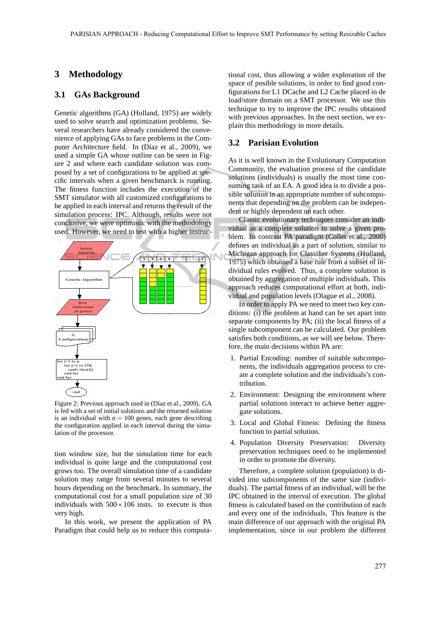## **3 Methodology**

### **3.1 GAs Background**

Genetic algorithms (GA) (Holland, 1975) are widely used to solve search and optimization problems. Several researchers have already considered the convenience of applying GAs to face problems in the Computer Architecture field. In (Díaz et al., 2009), we used a simple GA whose outline can be seen in Figure 2 and where each candidate solution was composed by a set of configurations to be applied at specific intervals when a given benchmarck is running. The fitness function includes the execution of the SMT simulator with all customized configurations to be applied in each interval and returns the result of the simulation process: IPC. Although, results were not conclusive, we were optimistic with the methodology used. However, we need to test with a higher instruc-



Figure 2: Previous approach used in (Díaz et al., 2009). GA is fed with a set of initial solutions and the returned solution is an individual with  $n = 100$  genes, each gene describing the configuration applied in each interval during the simulation of the processor.

tion window size, but the simulation time for each individual is quite large and the computational cost grows too. The overall simulation time of a candidate solution may range from several minutes to several hours depending on the benchmark. In summary, the computational cost for a small population size of 30 individuals with  $500 * 106$  insts. to execute is thus very high.

In this work, we present the application of PA Paradigm that could help us to reduce this computa-

tional cost, thus allowing a wider exploration of the space of posible solutions, in order to find good configurations for L1 DCache and L2 Cache placed in de load/store domain on a SMT processor. We use this technique to try to improve the IPC results obtained with previous approaches. In the next section, we explain this methodology in more details.

#### **3.2 Parisian Evolution**

As it is well known in the Evolutionary Computation Community, the evaluation process of the candidate solutions (individuals) is usually the most time consuming task of an EA. A good idea is to divide a possible solution in an appropriate number of subcomponents that depending on the problem can be independent or highly dependent on each other.

Classic evolutionary techniques consider an individual as a complete solution to solve a given problem. In contrast PA paradigm (Collet et al., 2000) defines an individual as a part of solution, similar to Michigan approach for Classifier Systems (Holland, 1975) which obtained a base rule from a subset of individual rules evolved. Thus, a complete solution is obtained by aggregation of multiple individuals. This approach reduces computational effort at both, individual and population levels (Olague et al., 2008).

In order to apply PA we need to meet two key conditions: (i) the problem at hand can be set apart into separate components by PA; (ii) the local fitness of a single subcomponent can be calculated. Our problem satisfies both conditions, as we will see below. Therefore, the main decisions within PA are:

- 1. Partial Encoding: number of suitable subcomponents, the individuals aggregation process to create a complete solution and the individuals's contribution.
- 2. Environment: Designing the environment where partial solutions interact to achieve better aggregate solutions.
- 3. Local and Global Fitness: Defining the fitness function to partial solution.
- 4. Population Diversity Preservation: Diversity preservation techniques need to be implemented in order to promote the diversity.

Therefore, a complete solution (population) is divided into subcomponents of the same size (individuals). The partial fitness of an individual, will be the IPC obtained in the interval of execution. The global fitness is calculated based on the contribution of each and every one of the individuals. This feature is the main difference of our approach with the original PA implementation, since in our problem the different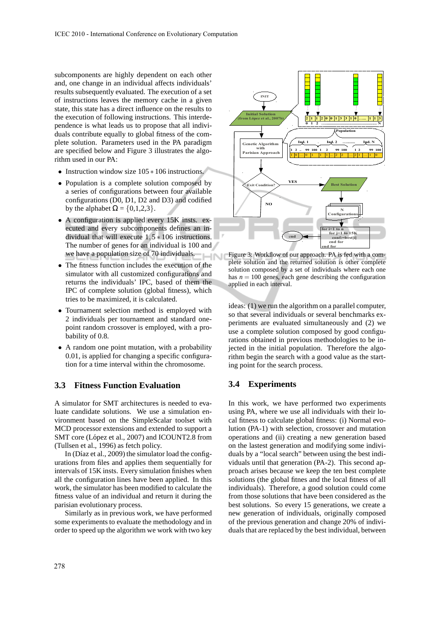subcomponents are highly dependent on each other and, one change in an individual affects individuals' results subsequently evaluated. The execution of a set of instructions leaves the memory cache in a given state, this state has a direct influence on the results to the execution of following instructions. This interdependence is what leads us to propose that all individuals contribute equally to global fitness of the complete solution. Parameters used in the PA paradigm are specified below and Figure 3 illustrates the algorithm used in our PA:

- Instruction window size 105 ∗ 106 instructions.
- Population is a complete solution composed by a series of configurations between four available configurations (D0, D1, D2 and D3) and codified by the alphabet  $\Omega = \{0, 1, 2, 3\}.$
- A configuration is applied every 15K insts. executed and every subcomponents defines an individual that will execute  $1,5*106$  instructions. The number of genes for an individual is 100 and we have a population size of 70 individuals.  $-N$
- The fitness function includes the execution of the simulator with all customized configurations and returns the individuals' IPC, based of them the IPC of complete solution (global fitness), which tries to be maximized, it is calculated.
- Tournament selection method is employed with 2 individuals per tournament and standard onepoint random crossover is employed, with a probability of 0.8.
- A random one point mutation, with a probability 0.01, is applied for changing a specific configuration for a time interval within the chromosome.

## **3.3 Fitness Function Evaluation**

A simulator for SMT architectures is needed to evaluate candidate solutions. We use a simulation environment based on the SimpleScalar toolset with MCD processor extensions and extended to support a SMT core (López et al., 2007) and ICOUNT2.8 from (Tullsen et al., 1996) as fetch policy.

In (Díaz et al., 2009) the simulator load the configurations from files and applies them sequentially for intervals of 15K insts. Every simulation finishes when all the configuration lines have been applied. In this work, the simulator has been modified to calculate the fitness value of an individual and return it during the parisian evolutionary process.

Similarly as in previous work, we have performed some experiments to evaluate the methodology and in order to speed up the algorithm we work with two key



Figure 3: Workflow of our approach. PA is fed with a complete solution and the returned solution is other complete solution composed by a set of individuals where each one has  $n = 100$  genes, each gene describing the configuration applied in each interval.

ideas: (1) we run the algorithm on a parallel computer, so that several individuals or several benchmarks experiments are evaluated simultaneously and (2) we use a complete solution composed by good configurations obtained in previous methodologies to be injected in the initial population. Therefore the algorithm begin the search with a good value as the starting point for the search process.

### **3.4 Experiments**

In this work, we have performed two experiments using PA, where we use all individuals with their local fitness to calculate global fitness: (i) Normal evolution (PA-1) with selection, crossover and mutation operations and (ii) creating a new generation based on the lastest generation and modifying some individuals by a "local search" between using the best individuals until that generation (PA-2). This second approach arises because we keep the ten best complete solutions (the global fitnes and the local fitness of all individuals). Therefore, a good solution could come from those solutions that have been considered as the best solutions. So every 15 generations, we create a new generation of individuals, originally composed of the previous generation and change 20% of individuals that are replaced by the best individual, between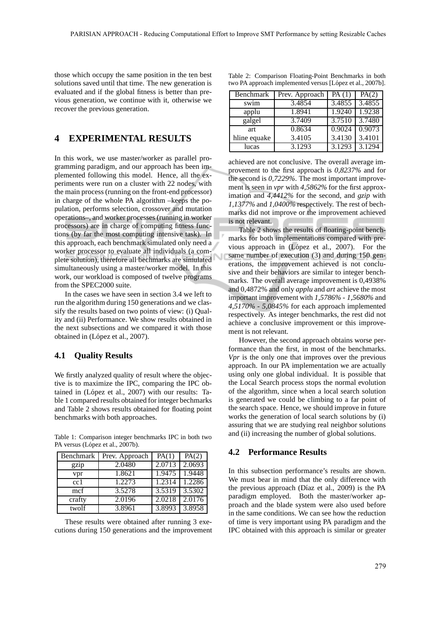those which occupy the same position in the ten best solutions saved until that time. The new generation is evaluated and if the global fitness is better than previous generation, we continue with it, otherwise we recover the previous generation.

## **4 EXPERIMENTAL RESULTS**

In this work, we use master/worker as parallel programming paradigm, and our approach has been implemented following this model. Hence, all the experiments were run on a cluster with 22 nodes, with the main process (running on the front-end processor) in charge of the whole PA algorithm –keeps the population, performs selection, crossover and mutation operations–, and worker processes (running in worker processors) are in charge of computing fitness functions (by far the most computing intensive task). In this approach, each benchmark simulated only need a worker processor to evaluate all individuals (a complete solution), therefore all bechmarks are simulated simultaneously using a master/worker model. In this work, our workload is composed of twelve programs from the SPEC2000 suite.

In the cases we have seen in section 3.4 we left to run the algorithm during 150 generations and we classify the results based on two points of view: (i) Quality and (ii) Performance. We show results obtained in the next subsections and we compared it with those obtained in (López et al., 2007).

#### **4.1 Quality Results**

We firstly analyzed quality of result where the objective is to maximize the IPC, comparing the IPC obtained in (López et al., 2007) with our results: Table 1 compared results obtained for integer bechmarks and Table 2 shows results obtained for floating point benchmarks with both approaches.

Table 1: Comparison integer benchmarks IPC in both two PA versus (López et al., 2007b).

| Benchmark | Prev. Approach | PA(1)  | PA(2)  |
|-----------|----------------|--------|--------|
| gzip      | 2.0480         | 2.0713 | 2.0693 |
| vpr       | 1.8621         | 1.9475 | 1.9448 |
| cc1       | 1.2273         | 1.2314 | 1.2286 |
| mcf       | 3.5278         | 3.5319 | 3.5302 |
| crafty    | 2.0196         | 2.0218 | 2.0176 |
| twolf     | 3.8961         | 3.8993 | 3.8958 |

These results were obtained after running 3 executions during 150 generations and the improvement

|  | Table 2: Comparison Floating-Point Benchmarks in both     |  |  |
|--|-----------------------------------------------------------|--|--|
|  | two PA approach implemented versus [López et al., 2007b]. |  |  |

| Benchmark    | Prev. Approach | PA(1)  | PA(2)  |
|--------------|----------------|--------|--------|
| swim         | 3.4854         | 3.4855 | 3.4855 |
| applu        | 1.8941         | 1.9240 | 1.9238 |
| galgel       | 3.7409         | 3.7510 | 3.7480 |
| art          | 0.8634         | 0.9024 | 0.9073 |
| hline equake | 3.4105         | 3.4130 | 3.4101 |
| lucas        | 3.1293         | 3.1293 | 3.1294 |

achieved are not conclusive. The overall average improvement to the first approach is *0,8237%* and for the second is *0,7229%*. The most important improvement is seen in *vpr* with *4,5862%* for the first approximation and *4,4412%* for the second, and *gzip* with *1,1377%* and *1,0400%* respectively. The rest of bechmarks did not improve or the improvement achieved is not relevant.

Table 2 shows the results of floating-point benchmarks for both implementations compared with previous approach in (López et al., 2007). For the same number of execution (3) and during 150 generations, the improvement achieved is not conclusive and their behaviors are similar to integer benchmarks. The overall average improvement is 0,4938% and 0,4872% and only *applu* and *art* achieve the most important improvement with *1,5786% - 1,5680%* and *4,5170% - 5,0845%* for each approach implemented respectively. As integer benchmarks, the rest did not achieve a conclusive improvement or this improvement is not relevant.

However, the second approach obtains worse performance than the first, in most of the benchmarks. *Vpr* is the only one that improves over the previous approach. In our PA implementation we are actually using only one global individual. It is possible that the Local Search process stops the normal evolution of the algorithm, since when a local search solution is generated we could be climbing to a far point of the search space. Hence, we should improve in future works the generation of local search solutions by (i) assuring that we are studying real neighbor solutions and (ii) increasing the number of global solutions.

### **4.2 Performance Results**

In this subsection performance's results are shown. We must bear in mind that the only difference with the previous approach (Díaz et al., 2009) is the PA paradigm employed. Both the master/worker approach and the blade system were also used before in the same conditions. We can see how the reduction of time is very important using PA paradigm and the IPC obtained with this approach is similar or greater